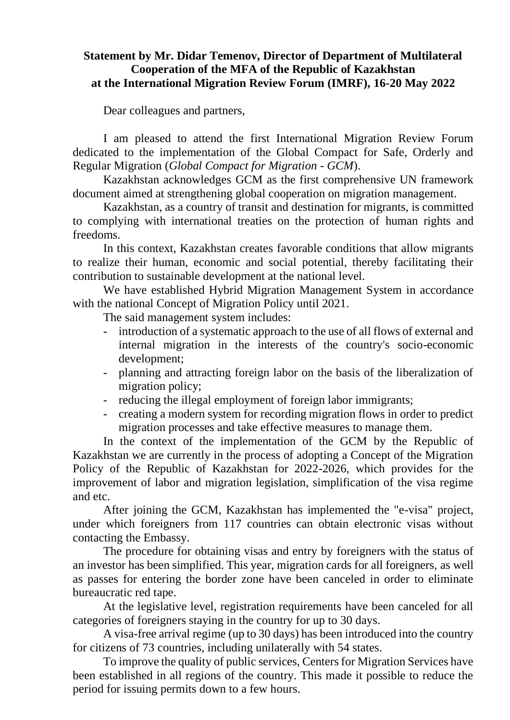## **Statement by Mr. Didar Temenov, Director of Department of Multilateral Cooperation of the MFA of the Republic of Kazakhstan at the International Migration Review Forum (IMRF), 16-20 May 2022**

Dear colleagues and partners,

I am pleased to attend the first International Migration Review Forum dedicated to the implementation of the Global Compact for Safe, Orderly and Regular Migration (*Global Compact for Migration* - *GCM*).

Kazakhstan acknowledges GCM as the first comprehensive UN framework document aimed at strengthening global cooperation on migration management.

Kazakhstan, as a country of transit and destination for migrants, is committed to complying with international treaties on the protection of human rights and freedoms.

In this context, Kazakhstan creates favorable conditions that allow migrants to realize their human, economic and social potential, thereby facilitating their contribution to sustainable development at the national level.

We have established Hybrid Migration Management System in accordance with the national Concept of Migration Policy until 2021.

The said management system includes:

- introduction of a systematic approach to the use of all flows of external and internal migration in the interests of the country's socio-economic development;
- planning and attracting foreign labor on the basis of the liberalization of migration policy;
- reducing the illegal employment of foreign labor immigrants;
- creating a modern system for recording migration flows in order to predict migration processes and take effective measures to manage them.

In the context of the implementation of the GCM by the Republic of Kazakhstan we are currently in the process of adopting a Concept of the Migration Policy of the Republic of Kazakhstan for 2022-2026, which provides for the improvement of labor and migration legislation, simplification of the visa regime and etc.

After joining the GCM, Kazakhstan has implemented the "e-visa" project, under which foreigners from 117 countries can obtain electronic visas without contacting the Embassy.

The procedure for obtaining visas and entry by foreigners with the status of an investor has been simplified. This year, migration cards for all foreigners, as well as passes for entering the border zone have been canceled in order to eliminate bureaucratic red tape.

At the legislative level, registration requirements have been canceled for all categories of foreigners staying in the country for up to 30 days.

A visa-free arrival regime (up to 30 days) has been introduced into the country for citizens of 73 countries, including unilaterally with 54 states.

To improve the quality of public services, Centers for Migration Services have been established in all regions of the country. This made it possible to reduce the period for issuing permits down to a few hours.